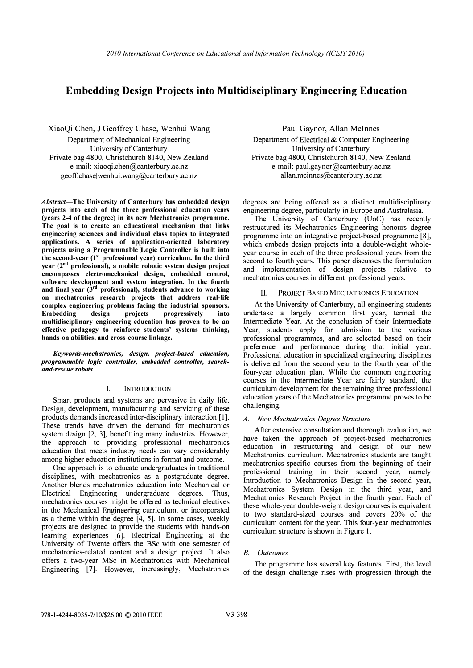# Embedding Design Projects into Multidisciplinary Engineering Education

XiaoQi Chen, J Geoffrey Chase, Wenhui Wang Department of Mechanical Engineering University of Canterbury Private bag 4800, Christchurch 8140, New Zealand e-mail: xiaoqi.chen@canterbury.ac.nz geoff.chaselwenhui. wang@canterbury .ac.nz

Abstract-The University of Canterbury has embedded design projects into each of the three professional education years (years 2-4 of the degree) in its new Mechatronics programme. The goal is to create an educational mechanism that links engineering sciences and individual class topics to integrated applications. A series of application-oriented laboratory projects using a Programmable Logic Controller is built into the second-year  $(1<sup>st</sup>$  professional year) curriculum. In the third year (2nd professional), a mobile robotic system design project encompasses electromechanical design, embedded control, software development and system integration. In the fourth and final year  $(3<sup>rd</sup>$  professional), students advance to working on mechatronics research projects that address real-life complex engineering problems facing the industrial sponsors. Embedding design projects progressively into multidisciplinary engineering education has proven to be an effective pedagogy to reinforce students' systems thinking, hands-on abilities, and cross-course linkage.

Keywords-mechatronics, design, project-based education, programmable logic contrtoller, embedded controller, searchand-rescue robots

#### 1. INTRODUCTION

Smart products and systems are pervasive in daily life. Design, development, manufacturing and servicing of these products demands increased inter-disciplinary interaction [1]. These trends have driven the demand for mechatronics system design [2, 3], benefitting many industries. However, the approach to providing professional mechatronics education that meets industry needs can vary considerably among higher education institutions in format and outcome.

One approach is to educate undergraduates in traditional disciplines, with mechatronics as a postgraduate degree. Another blends mechatronics education into Mechanical or Electrical Engineering undergraduate degrees. Thus, mechatronics courses might be offered as technical electives in the Mechanical Engineering curriculum, or incorporated as a theme within the degree [4, 5]. In some cases, weekly projects are designed to provide the students with hands-on learning experiences [6]. Electrical Engineering at the University of Twente offers the BSc with one semester of mechatronics-related content and a design project. It also offers a two-year MSc in Mechatronics with Mechanical Engineering [7]. However, increasingly, Mechatronics

Paul Gaynor, Allan Mcinnes Department of Electrical & Computer Engineering University of Canterbury Private bag 4800, Christchurch 8140, New Zealand e-mail: paul.gaynor@canterbury.ac.nz allan.mcinnes@canterbury.ac.nz

degrees are being offered as a distinct multidisciplinary engineering degree, particularly in Europe and Australasia.

The University of Canterbury (UoC) has recently restructured its Mechatronics Engineering honours degree programme into an integrative project-based programme [8], which embeds design projects into a double-weight wholeyear course in each of the three professional years from the second to fourth years. This paper discusses the formulation and implementation of design projects relative to mechatronics courses in different professional years.

# II. PROJECT BASED MECHATRONICS EDUCATION

At the University of Canterbury, all engineering students undertake a largely common first year, termed the Intermediate Year. At the conclusion of their Intermediate Year, students apply for admission to the various professional programmes, and are selected based on their preference and performance during that initial year. Professional education in specialized engineering disciplines is delivered from the second year to the fourth year of the four-year education plan. While the common engineering courses in the Intermediate Year are fairly standard, the curriculum development for the remaining three professional education years of the Mechatronics programme proves to be challenging.

# A. New Mechatronics Degree Structure

After extensive consultation and thorough evaluation, we have taken the approach of project-based mechatronics education in restructuring and design of our new Mechatronics curriculum. Mechatronics students are taught mechatronics-specific courses from the beginning of their professional training in their second year, namely Introduction to Mechatronics Design in the second year, Mechatronics System Design in the third year, and Mechatronics Research Project in the fourth year. Each of these whole-year double-weight design courses is equivalent to two standard-sized courses and covers 20% of the curriculum content for the year. This four-year mechatronics curriculum structure is shown in Figure 1.

### B. Outcomes

The programme has several key features. First, the level of the design challenge rises with progression through the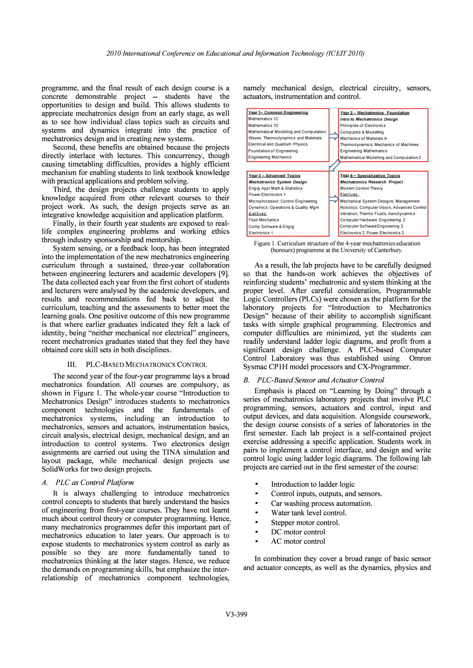programme, and the final result of each design course is a concrete demonstrable project  $-$  students have the opportunities to design and build. This allows students to appreciate mechatronics design from an early stage, as well as to see how individual class topics such as circuits and systems and dynamics integrate into the practice of mechatronics design and in creating new systems.

Second, these benefits are obtained because the projects directly interlace with lectures. This concurrency, though causing timetabling difficulties, provides a highly efficient mechanism for enabling students to link textbook knowledge with practical applications and problem solving.

Third, the design projects challenge students to apply knowledge acquired from other relevant courses to their project work. As such, the design projects serve as an integrative knowledge acquisition and application platform.

Finally, in their fourth year students are exposed to reallife complex engineering problems and working ethics through industry sponsorship and mentorship.

System sensing, or a feedback loop, has been integrated into the implementation of the new mechatronics engineering curriculum through a sustained, three-year collaboration between engineering lecturers and academic developers [9]. The data collected each year from the first cohort of students and lecturers were analysed by the academic developers, and results and recommendations fed back to adjust the curriculum, teaching and the assessments to better meet the learning goals. One positive outcome of this new programme is that where earlier graduates indicated they felt a lack of identity, being "neither mechanical nor electrical" engineers, recent mechatronics graduates stated that they feel they have obtained core skill sets in both disciplines.

### III. PLC-BASED MECHATRONICS CONTROL

The second year of the four-year programme lays a broad mechatronics foundation. All courses are compulsory, as shown in Figure 1. The whole-year course "Introduction to Mechatronics Design" introduces students to mechatronics component technologies and the fundamentals of mechatronics systems, including an introduction to mechatronics, sensors and actuators, instrumentation basics, circuit analysis, electrical design, mechanical design, and an introduction to control systems. Two electronics design assignments are carried out using the TINA simulation and layout package, while mechanical design projects use SolidWorks for two design projects.

### A. PLC as Control Platform

It is always challenging to introduce mechatronics control concepts to students that barely understand the basics of engineering from first-year courses. They have not learnt much about control theory or computer programming. Hence, many mechatronics programmes defer this important part of mechatronics education to later years. Our approach is to expose students to mechatronics system control as early as possible so they are more fundamentally tuned to mechatronics thinking at the later stages. Hence, we reduce the demands on programming skills, but emphasize the interrelationship of mechatronics component technologies,

namely mechanical design, electrical circuitry, sensors, actuators, instrumentation and control.



Figure 1. Curriculum structure of the 4-year mechatronics education (honours) programme at the University of Canterbury.

As a result, the lab projects have to be carefully designed so that the hands-on work achieves the objectives of reinforcing students' mechatronic and system thinking at the proper level. After careful consideration, Programmable Logic Controllers (PLCs) were chosen as the platform for the laboratory projects for "Introduction to Mechatronics Design" because of their ability to accomplish significant tasks with simple graphical programming. Electronics and computer difficulties are minimized, yet the students can readily understand ladder logic diagrams, and profit from a significant design challenge. A PLC-based Computer Control Laboratory was thus established using Omron Sysmac CP1H model processors and CX-Programmer.

### B. PLC-Based Sensor and Actuator Control

Emphasis is placed on "Learning by Doing" through a series of mechatronics laboratory projects that involve PLC programming, sensors, actuators and control, input and output devices, and data acquisition. Alongside coursework, the design course consists of a series of laboratories in the first semester. Each lab project is a self-contained project exercise addressing a specific application. Students work in pairs to implement a control interface, and design and write control logic using ladder logic diagrams. The following lab projects are carried out in the first semester of the course:

- Introduction to ladder logic
- Control inputs, outputs, and sensors.
- Car washing process automation.
- Water tank level control.
- Stepper motor control.
- DC motor control
- AC motor control

In combination they cover a broad range of basic sensor and actuator concepts, as well as the dynamics, physics and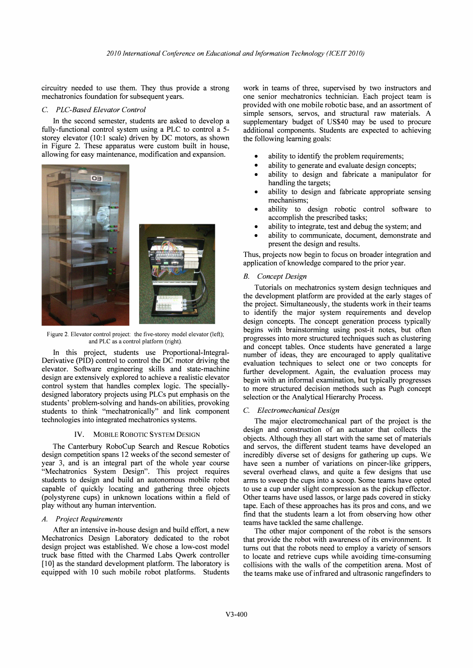circuitry needed to use them. They thus provide a strong mechatronics foundation for subsequent years.

### C. PLC-Based Elevator Control

In the second semester, students are asked to develop a fully-functional control system using a PLC to control a 5 storey elevator (10:1 scale) driven by DC motors, as shown in Figure 2. These apparatus were custom built in house, allowing for easy maintenance, modification and expansion.



Figure 2. Elevator control project: the five-storey model elevator (left); and PLC as a control platform (right).

In this project, students use Proportional-Integral-Derivative (PID) control to control the DC motor driving the elevator. Software engineering skills and state-machine design are extensively explored to achieve a realistic elevator control system that handles complex logic. The speciallydesigned laboratory projects using PLCs put emphasis on the students' problem-solving and hands-on abilities, provoking students to think "mechatronically" and link component technologies into integrated mechatronics systems.

# IV. MOBILE ROBOTIC SYSTEM DESIGN

The Canterbury RoboCup Search and Rescue Robotics design competition spans 12 weeks of the second semester of year 3, and is an integral part of the whole year course "Mechatronics System Design". This project requires students to design and build an autonomous mobile robot capable of quickly locating and gathering three objects (polystyrene cups) in unknown locations within a field of play without any human intervention.

# A. Project Requirements

After an intensive in-house design and build effort, a new Mechatronics Design Laboratory dedicated to the robot design project was established. We chose a low-cost model truck base fitted with the Charmed Labs Qwerk controller [10] as the standard development platform. The laboratory is equipped with 10 such mobile robot platforms. Students

work in teams of three, supervised by two instructors and one senior mechatronics technician. Each project team is provided with one mobile robotic base, and an assortment of simple sensors, servos, and structural raw materials. A supplementary budget of US\$40 may be used to procure additional components. Students are expected to achieving the following learning goals:

- ability to identify the problem requirements;
- ability to generate and evaluate design concepts;
- ability to design and fabricate a manipulator for handling the targets;
- ability to design and fabricate appropriate sensing mechanisms;
- ability to design robotic control software to accomplish the prescribed tasks;
- ability to integrate, test and debug the system; and
- ability to communicate, document, demonstrate and present the design and results.

Thus, projects now begin to focus on broader integration and application of knowledge compared to the prior year.

### B. Concept Design

Tutorials on mechatronics system design techniques and the development platform are provided at the early stages of the project. Simultaneously, the students work in their teams to identify the major system requirements and develop design concepts. The concept generation process typically begins with brainstorming using post-it notes, but often progresses into more structured techniques such as clustering and concept tables. Once students have generated a large number of ideas, they are encouraged to apply qualitative evaluation techniques to select one or two concepts for further development. Again, the evaluation process may begin with an informal examination, but typically progresses to more structured decision methods such as Pugh concept selection or the Analytical Hierarchy Process.

### C. Electromechanical Design

The major electromechanical part of the project is the design and construction of an actuator that collects the objects. Although they all start with the same set of materials and servos, the different student teams have developed an incredibly diverse set of designs for gathering up cups. We have seen a number of variations on pincer-like grippers, several overhead claws, and quite a few designs that use arms to sweep the cups into a scoop. Some teams have opted to use a cup under slight compression as the pickup effector. Other teams have used lassos, or large pads covered in sticky tape. Each of these approaches has its pros and cons, and we find that the students learn a lot from observing how other teams have tackled the same challenge.

The other major component of the robot is the sensors that provide the robot with awareness of its environment. It turns out that the robots need to employ a variety of sensors to locate and retrieve cups while avoiding time-consuming collisions with the walls of the competition arena. Most of the teams make use of infrared and ultrasonic rangefinders to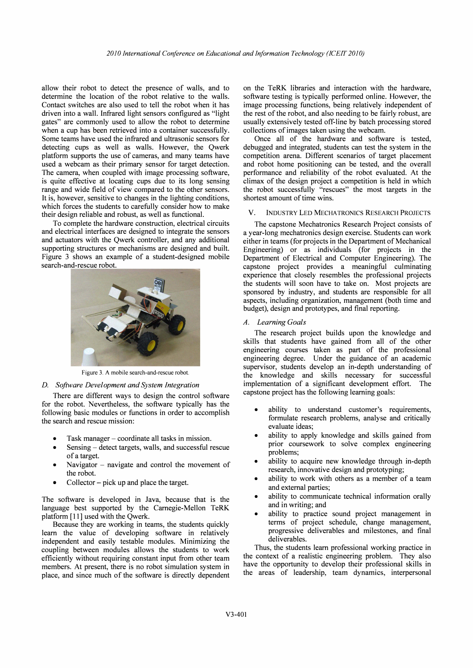allow their robot to detect the presence of walls, and to determine the location of the robot relative to the walls. Contact switches are also used to tell the robot when it has driven into a wall. Infrared light sensors configured as "light gates" are commonly used to allow the robot to determine when a cup has been retrieved into a container successfully. Some teams have used the infrared and ultrasonic sensors for detecting cups as well as walls. However, the Qwerk platform supports the use of cameras, and many teams have used a webcam as their primary sensor for target detection. The camera, when coupled with image processing software, is quite effective at locating cups due to its long sensing range and wide field of view compared to the other sensors. It is, however, sensitive to changes in the lighting conditions, which forces the students to carefully consider how to make their design reliable and robust, as well as functional.

To complete the hardware construction, electrical circuits and electrical interfaces are designed to integrate the sensors and actuators with the Qwerk controller, and any additional supporting structures or mechanisms are designed and built. Figure 3 shows an example of a student-designed mobile search-and-rescue robot.



Figure 3. A mobile search-and-rescue robot.

# D. Software Development and System Integration

There are different ways to design the control software for the robot. Nevertheless, the software typically has the following basic modules or functions in order to accomplish the search and rescue mission:

- Task manager  $-$  coordinate all tasks in mission.
- Sensing detect targets, walls, and successful rescue of a target.
- Navigator navigate and control the movement of the robot.
- Collector  $-\text{pick}$  up and place the target.

The software is developed in Java, because that is the language best supported by the Carnegie-Mellon TeRK platform [11] used with the Qwerk.

Because they are working in teams, the students quickly learn the value of developing software in relatively independent and easily testable modules. Minimizing the coupling between modules allows the students to work efficiently without requiring constant input from other team members. At present, there is no robot simulation system in place, and since much of the software is directly dependent

on the TeRK libraries and interaction with the hardware, software testing is typically performed online. However, the image processing functions, being relatively independent of the rest of the robot, and also needing to be fairly robust, are usually extensively tested off-line by batch processing stored collections of images taken using the webcam.

Once all of the hardware and software is tested, debugged and integrated, students can test the system in the competition arena. Different scenarios of target placement and robot home positioning can be tested, and the overall performance and reliability of the robot evaluated. At the climax of the design project a competition is held in which the robot successfully "rescues" the most targets in the shortest amount of time wins.

### INDUSTRY LED MECHATRONICS RESEARCH PROJECTS

The capstone Mechatronics Research Project consists of a year-long mechatronics design exercise. Students can work either in teams (for projects in the Department of Mechanical Engineering) or as individuals (for projects in the Department of Electrical and Computer Engineering). The capstone project provides a meaningful culminating experience that closely resembles the professional projects the students will soon have to take on. Most projects are sponsored by industry, and students are responsible for all aspects, including organization, management (both time and budget), design and prototypes, and final reporting.

#### A. Learning Goals

The research project builds upon the knowledge and skills that students have gained from all of the other engineering courses taken as part of the professional engineering degree. Under the guidance of an academic supervisor, students develop an in-depth understanding of the knowledge and skills necessary for successful implementation of a significant development effort. The capstone project has the following learning goals:

- ability to understand customer's requirements, formulate research problems, analyse and critically evaluate ideas;
- ability to apply knowledge and skills gained from prior coursework to solve complex engineering problems;
- ability to acquire new knowledge through in-depth research, innovative design and prototyping;
- ability to work with others as a member of a team and external parties;
- ability to communicate technical information orally and in writing; and
- ability to practice sound project management in terms of project schedule, change management, progressive deliverables and milestones, and final deliverables.

Thus, the students learn professional working practice in the context of a realistic engineering problem. They also have the opportunity to develop their professional skills in the areas of leadership, team dynamics, interpersonal